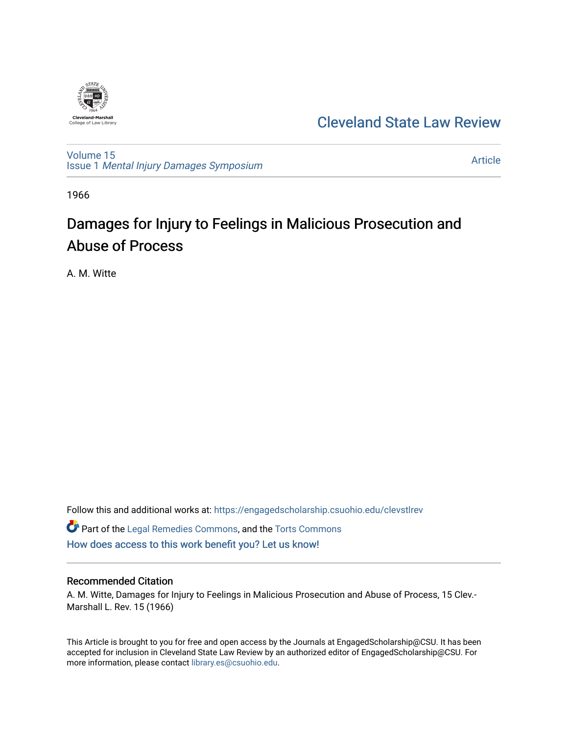

# [Cleveland State Law Review](https://engagedscholarship.csuohio.edu/clevstlrev)

[Volume 15](https://engagedscholarship.csuohio.edu/clevstlrev/vol15) Issue 1 [Mental Injury Damages Symposium](https://engagedscholarship.csuohio.edu/clevstlrev/vol15/iss1) 

[Article](https://engagedscholarship.csuohio.edu/clevstlrev/vol15/iss1/4) 

1966

# Damages for Injury to Feelings in Malicious Prosecution and Abuse of Process

A. M. Witte

Follow this and additional works at: [https://engagedscholarship.csuohio.edu/clevstlrev](https://engagedscholarship.csuohio.edu/clevstlrev?utm_source=engagedscholarship.csuohio.edu%2Fclevstlrev%2Fvol15%2Fiss1%2F4&utm_medium=PDF&utm_campaign=PDFCoverPages)

Part of the [Legal Remedies Commons,](http://network.bepress.com/hgg/discipline/618?utm_source=engagedscholarship.csuohio.edu%2Fclevstlrev%2Fvol15%2Fiss1%2F4&utm_medium=PDF&utm_campaign=PDFCoverPages) and the [Torts Commons](http://network.bepress.com/hgg/discipline/913?utm_source=engagedscholarship.csuohio.edu%2Fclevstlrev%2Fvol15%2Fiss1%2F4&utm_medium=PDF&utm_campaign=PDFCoverPages) [How does access to this work benefit you? Let us know!](http://library.csuohio.edu/engaged/)

#### Recommended Citation

A. M. Witte, Damages for Injury to Feelings in Malicious Prosecution and Abuse of Process, 15 Clev.- Marshall L. Rev. 15 (1966)

This Article is brought to you for free and open access by the Journals at EngagedScholarship@CSU. It has been accepted for inclusion in Cleveland State Law Review by an authorized editor of EngagedScholarship@CSU. For more information, please contact [library.es@csuohio.edu](mailto:library.es@csuohio.edu).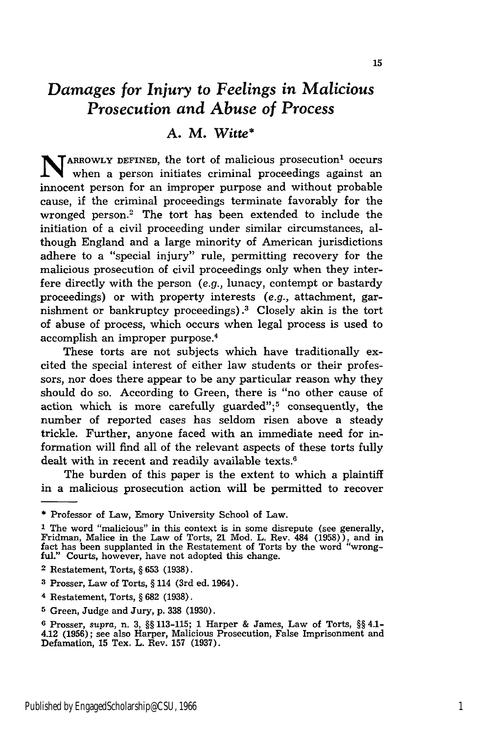## *Damages for Injury to Feelings in Malicious Prosecution and Abuse of Process*

### *A.* M. *Witte\**

N **ARROWLY DEFINED,** the tort of malicious prosecution' occurs when a person initiates criminal proceedings against an innocent person for an improper purpose and without probable cause, if the criminal proceedings terminate favorably for the wronged person.2 The tort has been extended to include the initiation of a civil proceeding under similar circumstances, although England and a large minority of American jurisdictions adhere to a "special injury" rule, permitting recovery for the malicious prosecution of civil proceedings only when they interfere directly with the person (e.g., lunacy, contempt or bastardy proceedings) or with property interests (e.g., attachment, garnishment or bankruptcy proceedings).3 Closely akin is the tort of abuse of process, which occurs when legal process is used to accomplish an improper purpose. 4

These torts are not subjects which have traditionally excited the special interest of either law students or their professors, nor does there appear to be any particular reason why they should do so. According to Green, there is "no other cause of action which is more carefully guarded";<sup>5</sup> consequently, the number of reported cases has seldom risen above a steady trickle. Further, anyone faced with an immediate need for information will find all of the relevant aspects of these torts fully dealt with in recent and readily available texts.<sup>6</sup>

The burden of this paper is the extent to which a plaintiff in a malicious prosecution action will be permitted to recover

<sup>\*</sup> Professor of Law, Emory University School of Law.

<sup>&</sup>lt;sup>1</sup> The word "malicious" in this context is in some disrepute (see generally Fridman, Malice in the Law of Torts, 21 Mod. L. Rev. 484 (1958)), and in fact has been supplanted in the Restatement of Torts by the word "wrongful." Courts, however, have not adopted this change.

**<sup>2</sup>** Restatement, Torts, **§ 653 (1938).**

**<sup>3</sup>** Prosser, Law of Torts, **§** 114 (3rd ed. 1964).

<sup>4</sup> Restatement, Torts, **§ 682** (1938).

**<sup>5</sup>** Green, Judge and Jury, p. 338 (1930).

**<sup>6</sup>** Prosser, *supra,* n. 3, **§§ 113-115;** 1 Harper **&** James, Law of Torts, **§§** 4.1- 4.12 (1956); see also Harper, Malicious Prosecution, False Imprisonment and Defamation, 15 Tex. L. Rev. 157 (1937).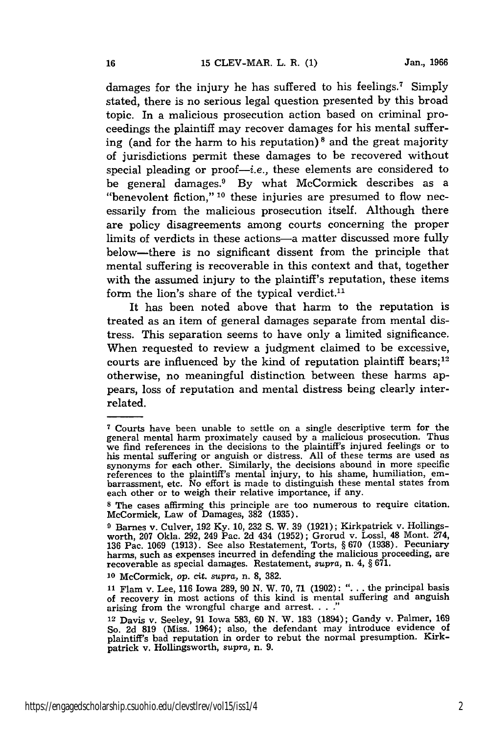damages for the injury he has suffered to his feelings.<sup>7</sup> Simply stated, there is no serious legal question presented by this broad topic. In a malicious prosecution action based on criminal proceedings the plaintiff may recover damages for his mental suffering (and for the harm to his reputation)<sup>8</sup> and the great majority of jurisdictions permit these damages to be recovered without special pleading or proof- $-i.e.,$  these elements are considered to be general damages.<sup>9</sup> By what McCormick describes as a "benevolent fiction," **10** these injuries are presumed to flow necessarily from the malicious prosecution itself. Although there are policy disagreements among courts concerning the proper limits of verdicts in these actions-a matter discussed more fully below-there is no significant dissent from the principle that mental suffering is recoverable in this context and that, together with the assumed injury to the plaintiff's reputation, these items form the lion's share of the typical verdict.<sup>11</sup>

It has been noted above that harm to the reputation is treated as an item of general damages separate from mental distress. This separation seems to have only a limited significance. When requested to review a judgment claimed to be excessive, courts are influenced by the kind of reputation plaintiff bears;<sup>12</sup> otherwise, no meaningful distinction between these harms appears, loss of reputation and mental distress being clearly interrelated.

**<sup>7</sup>** Courts have been unable to settle on a single descriptive term for the general mental harm proximately caused by a malicious prosecution. Thus we find references in the decisions to the plaintiff's injured feelings or to his mental suffering or anguish or distress. All of these terms are used as synonyms for each other. Similarly, the decisions abound in more specific references to the plaintiff's mental injury, to his shame, humiliation, embarrassment, etc. No effort is made to distinguish these mental states from each other or to weigh their relative importance, if any.

**<sup>8</sup>** The cases affirming this principle are too numerous to require citation. McCormick, Law of Damages, **382** (1935).

**<sup>9</sup>** Barnes v. Culver, 192 Ky. 10, 232 **S.** W. 39 (1921); Kirkpatrick v. Hollingsworth, 207 Okla. 292, 249 Pac. 2d 434 (1952); Grorud v. Lossl, 48 Mont. 274, 136 Pac. 1069 (1913). See also Restatement, Torts, § 670 (1938). Pecuniary harms, such as expenses incurred in defending the malicious proceeding, are recoverable as special damages. Restatement, *supra,* n. 4, § 671.

**<sup>10</sup>**McCormick, *op.* cit. *supra,* n. **8, 382.**

**<sup>11</sup>**Flam v. Lee, 116 Iowa 289, 90 N. W. 70, **71** (1902): "... the principal basis of recovery in most actions of this kind is mental suffering and anguish arising from the wrongful charge and arrest. . . .

**<sup>12</sup>**Davis v. Seeley, 91 Iowa 583, 60 **N.** W. **183** (1894); Gandy v. Palmer, **169** So. 2d **819** (Miss. 1964); also, the defendant may introduce evidence of plaintiff's bad reputation in order to rebut the normal presumption. Kirkpatrick v. HoUingsworth, *supra,* n. **9.**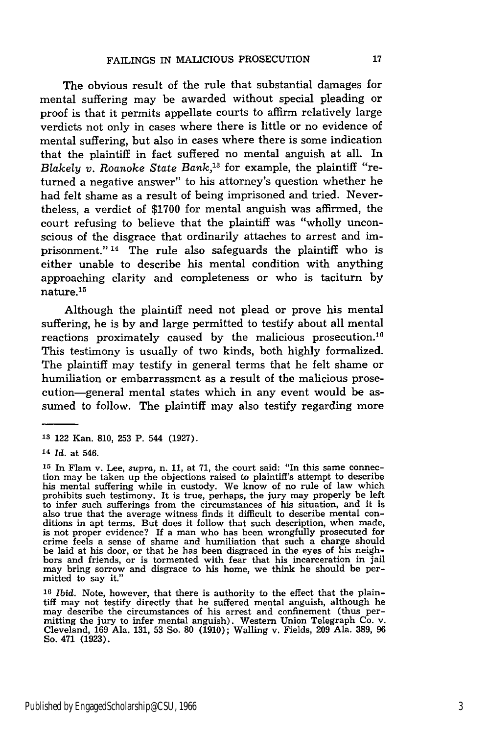The obvious result of the rule that substantial damages for mental suffering may be awarded without special pleading or proof is that it permits appellate courts to affirm relatively large verdicts not only in cases where there is little or no evidence of mental suffering, but also in cases where there is some indication that the plaintiff in fact suffered no mental anguish at all. In *Blakely v. Roanoke State Bank*,<sup>13</sup> for example, the plaintiff "returned a negative answer" to his attorney's question whether he had felt shame as a result of being imprisoned and tried. Nevertheless, a verdict of \$1700 for mental anguish was affirmed, the court refusing to believe that the plaintiff was "wholly unconscious of the disgrace that ordinarily attaches to arrest and imprisonment." 14 The rule also safeguards the plaintiff who is either unable to describe his mental condition with anything approaching clarity and completeness or who is taciturn by nature.15

Although the plaintiff need not plead or prove his mental suffering, he is by and large permitted to testify about all mental reactions proximately caused by the malicious prosecution.16 This testimony is usually of two kinds, both highly formalized. The plaintiff may testify in general terms that he felt shame or humiliation or embarrassment as a result of the malicious prosecution-general mental states which in any event would be assumed to follow. The plaintiff may also testify regarding more

**<sup>-1</sup>** 122 Kan. 810, 253 P. 544 **(1927).**

<sup>14</sup>*Id.* at 546.

**<sup>15</sup>** In Flam v. Lee, *supra,* n. 11, at 71, the court said: "In this same connection may be taken up the objections raised to plaintiff's attempt to describe his mental suffering while in custody. We know of no rule of law which prohibits such testimony. It is true, perhaps, the jury may properly be left to infer such sufferings from the circumstances of his situation, and it is also true that the average witness finds it difficult to describe mental conditions in apt terms. But does it follow that such description, when made, is not proper evidence? If a man who has been wrongfully prosecuted for crime feels a sense of shame and humiliation that such a charge should be laid at his door, or that he has been disgraced in the eyes of his neighbors and friends, or is tormented with fear that his incarceration in jail may bring sorrow and disgrace to his home, we think he should be permitted to say it.

**<sup>16</sup>** *Ibid.* Note, however, that there is authority to the effect that the plaintiff may not testify directly that he suffered mental anguish, although he may describe the circumstances of his arrest and confinement (thus permitting the jury to infer mental anguish). Western Union Telegraph Co. v. Cleveland, 169 Ala. 131, 53 So. **80** (1910); Walling v. Fields, 209 Ala. 389, 96 So. 471 (1923).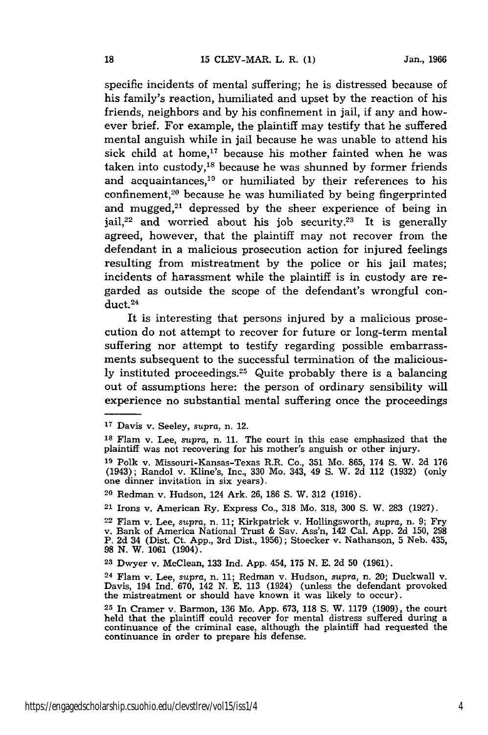specific incidents of mental suffering; he is distressed because of his family's reaction, humiliated and upset by the reaction of his friends, neighbors and by his confinement in jail, if any and however brief. For example, the plaintiff may testify that he suffered mental anguish while in jail because he was unable to attend his sick child at home,<sup>17</sup> because his mother fainted when he was taken into custody, $18$  because he was shunned by former friends and acquaintances,<sup>19</sup> or humiliated by their references to his confinement,<sup>20</sup> because he was humiliated by being fingerprinted and mugged,<sup>21</sup> depressed by the sheer experience of being in jail, $2^2$  and worried about his job security. $2^3$  It is generally agreed, however, that the plaintiff may not recover from the defendant in a malicious prosecution action for injured feelings resulting from mistreatment by the police or his jail mates; incidents of harassment while the plaintiff is in custody are regarded as outside the scope of the defendant's wrongful conduct. <sup>24</sup>

It is interesting that persons injured by a malicious prosecution do not attempt to recover for future or long-term mental suffering nor attempt to testify regarding possible embarrassments subsequent to the successful termination of the maliciously instituted proceedings.25 Quite probably there is a balancing out of assumptions here: the person of ordinary sensibility will experience no substantial mental suffering once the proceedings

24 Flam v. Lee, *supra,* n. 11; Redman v. Hudson, *supra,* n. 20; Duckwall v. Davis, 194 Ind. 670, 142 N. E. 113 (1924) (unless the defendant provoked the mistreatment or should have known it was likely to occur).

**<sup>17</sup>**Davis v. Seeley, *supra,* n. 12.

**<sup>18</sup>**Flam v. Lee, *supra,* n. 11. The court in this case emphasized that the plaintiff was not recovering for his mother's anguish or other injury.

**<sup>19</sup>**Polk v. Missouri-Kansas-Texas R.R. Co., 351 Mo. 865, 174 S. W. 2d 176 (1943); Randol v. Kline's, Inc., 330 Mo. 343, 49 S. W. 2d 112 (1932) (only one dinner invitation in six years).

<sup>20</sup> Redman v. Hudson, 124 Ark. 26, 186 S. W. 312 (1916).

<sup>21</sup> Irons v. American Ry. Express Co., 318 Mo. 318, 300 S. W. 283 (1927).

<sup>22</sup> Flam v. Lee, *supra,* n. 11; Kirkpatrick v. Hollingsworth, *supra,* n. 9; Fry v. Bank of America National Trust & Sav. Ass'n, 142 Cal. App. 2d 150, 298 P. 2d 34 (Dist. Ct. App., 3rd Dist., 1956); Stoecker v. Nathanson, 5 Neb. 435, 98 N. W. 1061 (1904).

**<sup>23</sup>**Dwyer v. McClean, 133 Ind. App. 454, 175 N. E. 2d 50 (1961).

**<sup>25</sup>**In Cramer v. Barmon, 136 Mo. App. 673, 118 S. W. 1179 (1909), the court held that the plaintiff could recover for mental distress suffered during a continuance of the criminal case, although the plaintiff had requested the continuance of the criminal case, although the plaintiff had requested the continuance in order to prepare his defense.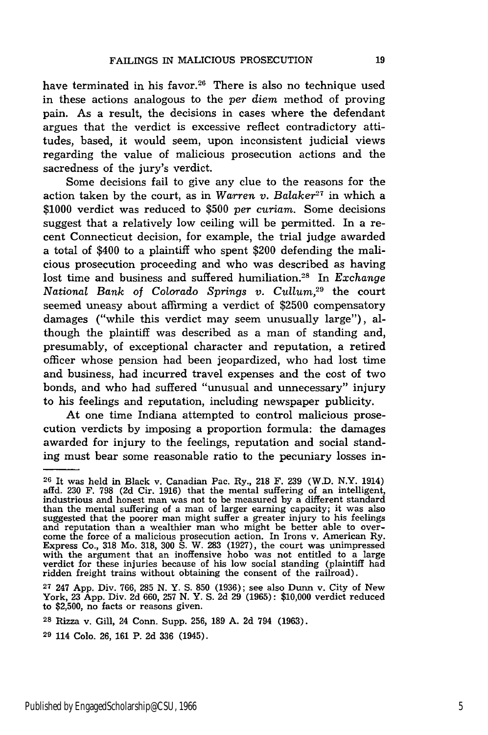have terminated in his favor.<sup>26</sup> There is also no technique used in these actions analogous to the *per diem* method of proving pain. As a result, the decisions in cases where the defendant argues that the verdict is excessive reflect contradictory attitudes, based, it would seem, upon inconsistent judicial views regarding the value of malicious prosecution actions and the sacredness of the jury's verdict.

Some decisions fail to give any clue to the reasons for the action taken by the court, as in *Warren v. Balaker27* in which a \$1000 verdict was reduced to \$500 *per curiam.* Some decisions suggest that a relatively low ceiling will be permitted. In a recent Connecticut decision, for example, the trial judge awarded a total of \$400 to a plaintiff who spent \$200 defending the malicious prosecution proceeding and who was described as having lost time and business and suffered humiliation.28 In *Exchange National Bank of Colorado Springs v. Cullum*,<sup>29</sup> the court seemed uneasy about affirming a verdict of \$2500 compensatory damages ("while this verdict may seem unusually large"), although the plaintiff was described as a man of standing and, presumably, of exceptional character and reputation, a retired officer whose pension had been jeopardized, who had lost time and business, had incurred travel expenses and the cost of two bonds, and who had suffered "unusual and unnecessary" injury to his feelings and reputation, including newspaper publicity.

At one time Indiana attempted to control malicious prosecution verdicts by imposing a proportion formula: the damages awarded for injury to the feelings, reputation and social standing must bear some reasonable ratio to the pecuniary losses in-

**<sup>26</sup>**It was held in Black v. Canadian Pac. Ry., 218 F. 239 (W.D. N.Y. 1914) affd. 230 F. 798 (2d Cir. 1916) that the mental suffering of an intelligent industrious and honest man was not to be measured by a different standard<br>than the mental suffering of a man of larger earning capacity; it was also<br>suggested that the poorer man might suffer a greater injury to his feelin and reputation that an inoffensive hobo was not entitled to a large express Co., 318 Mo. 318, 300 S. W. 283 (1927), the court was unimpressed with the argument that an inoffensive hobo was not entitled to a large verdict f ridden freight trains without obtaining the consent of the railroad).

**<sup>27</sup>** 247 App. Div. 766, 285 N. Y. **S. 850** (1936); see also Dunn v. City of New York, 23 App. Div. 2d 660, 257 N. Y. S. 2d 29 (1965): \$10,000 verdict reduced to \$2,500, no facts or reasons given.

**<sup>28</sup>** Rizza v. Gill, 24 Conn. Supp. 256, 189 A. 2d 794 (1963).

**<sup>29</sup>**114 Colo. 26, 161 P. 2d 336 (1945).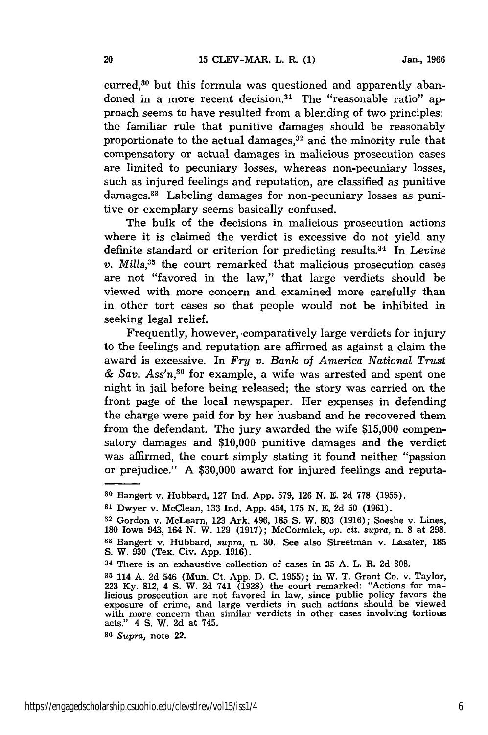curred,<sup>30</sup> but this formula was questioned and apparently abandoned in a more recent decision.<sup>31</sup> The "reasonable ratio" approach seems to have resulted from a blending of two principles: the familiar rule that punitive damages should be reasonably proportionate to the actual damages,<sup>32</sup> and the minority rule that compensatory or actual damages in malicious prosecution cases are limited to pecuniary losses, whereas non-pecuniary losses, such as injured feelings and reputation, are classified as punitive damages.33 Labeling damages for non-pecuniary losses as punitive or exemplary seems basically confused.

The bulk of the decisions in malicious prosecution actions where it is claimed the verdict is excessive do not yield any definite standard or criterion for predicting results.34 In *Levine v. Mills*<sup>35</sup> the court remarked that malicious prosecution cases are not "favored in the law," that large verdicts should be viewed with more concern and examined more carefully than in other tort cases so that people would not be inhibited in seeking legal relief.

Frequently, however, comparatively large verdicts for injury to the feelings and reputation are affirmed as against a claim the award is excessive. In *Fry v. Bank of America National Trust & Say. Ass'n,36* for example, a wife was arrested and spent one night in jail before being released; the story was carried on the front page of the local newspaper. Her expenses in defending the charge were paid for by her husband and he recovered them from the defendant. The jury awarded the wife \$15,000 compensatory damages and \$10,000 punitive damages and the verdict was affirmed, the court simply stating it found neither "passion or prejudice." A \$30,000 award for injured feelings and reputa-

**<sup>36</sup>***Supra,* note 22.

**<sup>30</sup>**Bangert v. Hubbard, 127 Ind. App. 579, 126 N. E. 2d **778** (1955).

**<sup>31</sup>**Dwyer v. McClean, 133 Ind. App. 454, 175 N. E. 2d 50 (1961).

**<sup>32</sup>**Gordon v. McLearn, **123** Ark. 496, **185** S. W. **803** (1916); Soesbe v. Lines, 180 Iowa 943, 164 N. W. 129 (1917); McCormick, *op.* cit. *supra,* n. 8 at 298. **<sup>33</sup>**Bangert v. Hubbard, *supra,* n. 30. See also Streetman v. Lasater, **<sup>185</sup> S.** W. 930 (Tex. Civ. App. 1916).

**<sup>34</sup>**There is an exhaustive collection of cases in 35 A. L. R. 2d 308.

<sup>&</sup>lt;sup>35</sup> 114 A. 2d 546 (Mun. Ct. App. D. C. 1955); in W. T. Grant Co. v. Taylor, 223 Ky. 812, 4 S. W. 2d 741 (1928) the court remarked: "Actions for malicious prosecution are not favored in law, since public policy favors the exposure of crime, and large verdicts in such actions should be viewed with more concern than similar verdicts in other cases involving tortious acts." 4 **S.** W. 2d at 745.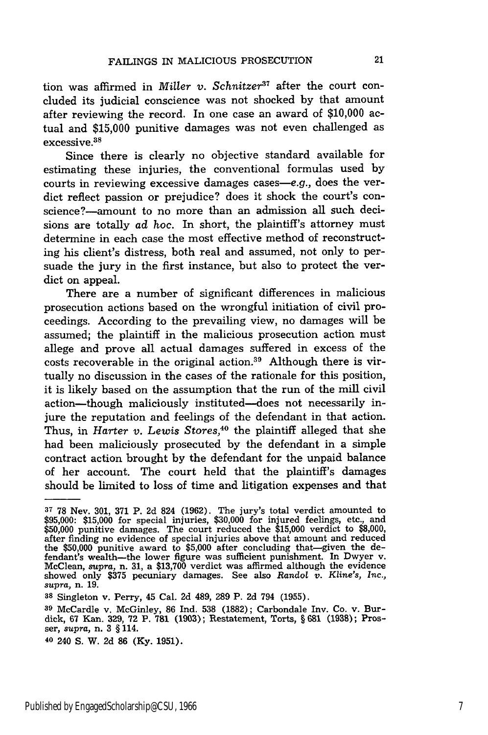tion was affirmed in *Miller v. Schnitzer37* after the court concluded its judicial conscience was not shocked by that amount after reviewing the record. In one case an award of \$10,000 actual and \$15,000 punitive damages was not even challenged as excessive **. 8**

Since there is clearly no objective standard available for estimating these injuries, the conventional formulas used by courts in reviewing excessive damages cases-e.g., does the verdict reflect passion or prejudice? does it shock the court's conscience?-amount to no more than an admission all such decisions are totally *ad* hoc. In short, the plaintiff's attorney must determine in each case the most effective method of reconstructing his client's distress, both real and assumed, not only to persuade the jury in the first instance, but also to protect the verdict on appeal.

There are a number of significant differences in malicious prosecution actions based on the wrongful initiation of civil proceedings. According to the prevailing view, no damages will be assumed; the plaintiff in the malicious prosecution action must allege and prove all actual damages suffered in excess of the costs recoverable in the original action.39 Although there is virtually no discussion in the cases of the rationale for this position, it is likely based on the assumption that the run of the mill civil action-though maliciously instituted-does not necessarily injure the reputation and feelings of the defendant in that action. Thus, in *Harter v. Lewis Stores*,<sup>40</sup> the plaintiff alleged that she had been maliciously prosecuted by the defendant in a simple contract action brought by the defendant for the unpaid balance of her account. The court held that the plaintiff's damages should be limited to loss of time and litigation expenses and that

**<sup>37</sup>**78 Nev. 301, 371 P. 2d 824 (1962). The jury's total verdict amounted to \$95,000: \$15,000 for special injuries, \$30,000 for injured feelings, etc., and \$50,000 punitive damages. The court reduced the \$15,000 verdict to \$8,000 after finding no evidence of special injuries above that amount and reduced the \$50,000 punitive award to \$5,000 after concluding that-given the defendant's wealth-the lower figure was sufficient punishment. In Dwyer v. McClean, *supra,* n. 31, a \$13,700 verdict was affirmed although the evidence showed only \$375 pecuniary damages. See also Randol *v. Kline's, Inc., supra,* n. 19.

**<sup>38</sup>**Singleton v. Perry, 45 Cal. **2d** 489, **289** P. **2d** 794 **(1955).**

**<sup>39</sup>** McCardle v. McGinley, **86** Ind. **538 (1882);** Carbondale **Inv.** Co. v. Burdick, **67** Kan. **329, 72** P. **781 (1903);** Restatement, Torts, § **681 (1938);** Prosser, *supra,* n. **3** § 114.

**<sup>40</sup>** 240 **S.** W. **2d 86 (Ky. 1951).**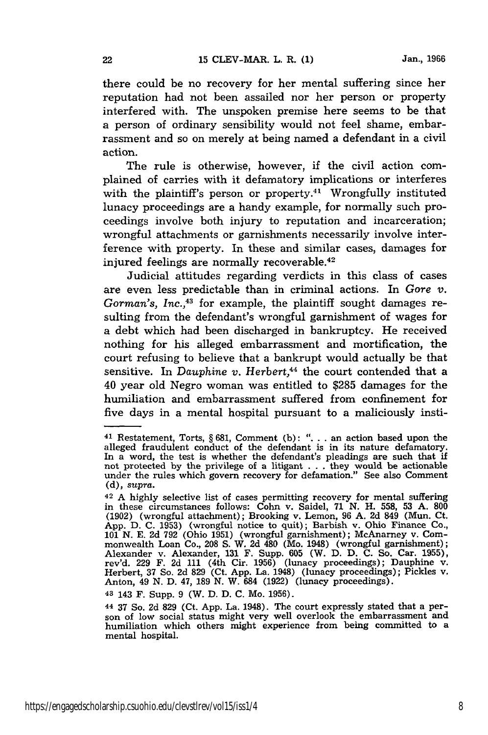there could be no recovery for her mental suffering since her reputation had not been assailed nor her person or property interfered with. The unspoken premise here seems to be that a person of ordinary sensibility would not feel shame, embarrassment and so on merely at being named a defendant in a civil action.

The rule is otherwise, however, if the civil action complained of carries with it defamatory implications or interferes with the plaintiff's person or property.<sup>41</sup> Wrongfully instituted lunacy proceedings are a handy example, for normally such proceedings involve both injury to reputation and incarceration; wrongful attachments or garnishments necessarily involve interference with property. In these and similar cases, damages for injured feelings are normally recoverable.<sup>42</sup>

Judicial attitudes regarding verdicts in this class of cases are even less predictable than in criminal actions. In *Gore v.* Gorman's, Inc.,<sup>43</sup> for example, the plaintiff sought damages resulting from the defendant's wrongful garnishment of wages for a debt which had been discharged in bankruptcy. He received nothing for his alleged embarrassment and mortification, the court refusing to believe that a bankrupt would actually be that sensitive. In *Dauphine v. Herbert*,<sup>44</sup> the court contended that a 40 year old Negro woman was entitled to \$285 damages for the humiliation and embarrassment suffered from confinement for five days in a mental hospital pursuant to a maliciously insti-

43 143 F. Supp. 9 (W. D. D. C. Mo. 1956).

<sup>41</sup> Restatement, Torts, § 681, Comment (b): ". **.** . an action based upon the alleged fraudulent conduct of the defendant is in its nature defamatory. In a word, the test is whether the defendant's pleadings are such that if not protected by the privilege of a litigant . . . they would be actionable under the rules which govern recovery for defamation." See also Commen (d), *supra.*

 $^{42}$  A highly selective list of cases permitting recovery for mental suffering in these circumstances follows: Cohn v. Saidel, 71 N. H. 558, 53 A. **800** (1902) (wrongful attachment); Brooking v. Lemon, **96** A. 2d 849 (Mun. Ct. App. D. C. 1953) (wrongful notice to quit); Barbish v. Ohio Finance Co. **101** N. E. 2d 792 (Ohio 1951) (wrongful garnishment); McAnarney v. Commonwealth Loan Co., 208 S. W. 2d 480 (Mo. 1948) (wrongful garnishment) Alexander v. Alexander, 131 F. Supp. 605 (W. D. D. C. So. Car. 1955), rev'd. 229 F. 2d 111 (4th Cir. 1956) (lunacy proceedings); Dauphine v. Herbert, 37 So. 2d 829 (Ct. App. La. 1948) (lunacy proceedings); Pickles v. Anton, 49 N. D. 47, **189** N. W. 684 (1922) (lunacy proceedings).

<sup>44 37</sup> So. 2d **829** (Ct. App. La. 1948). The court expressly stated that a per- son of low social status might very well overlook the embarrassment and humiliation which others might experience from being committed to a mental hospital.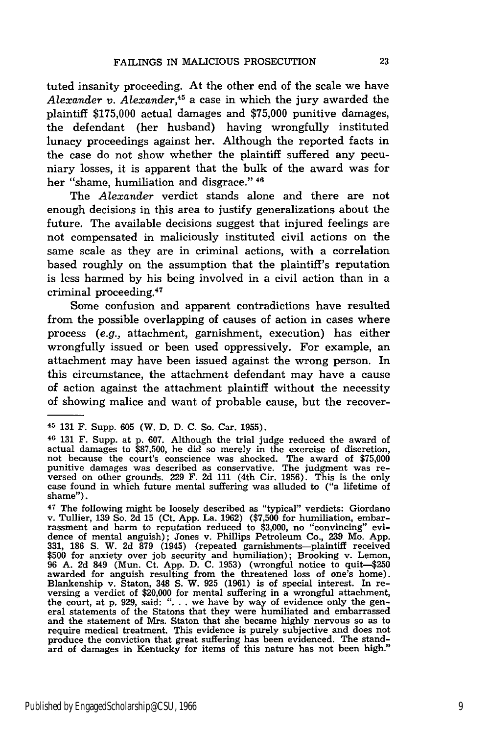tuted insanity proceeding. At the other end of the scale we have *Alexander v. Alexander,45* a case in which the jury awarded the plaintiff **\$175,000** actual damages and **\$75,000** punitive damages, the defendant (her husband) having wrongfully instituted lunacy proceedings against her. Although the reported facts in the case do not show whether the plaintiff suffered any pecuniary losses, it is apparent that the bulk of the award was for her "shame, humiliation and disgrace." **<sup>46</sup>**

The *Alexander* verdict stands alone and there are not enough decisions in this area to justify generalizations about the future. The available decisions suggest that injured feelings are not compensated in maliciously instituted civil actions on the same scale as they are in criminal actions, with a correlation based roughly on the assumption that the plaintiff's reputation is less harmed **by** his being involved in a civil action than in a criminal proceeding. <sup>47</sup>

Some confusion and apparent contradictions have resulted from the possible overlapping of causes of action in cases where process *(e.g.,* attachment, garnishment, execution) has either wrongfully issued or been used oppressively. For example, an attachment may have been issued against the wrong person. In this circumstance, the attachment defendant may have a cause of action against the attachment plaintiff without the necessity of showing malice and want of probable cause, but the recover-

**<sup>45 131</sup>** F. Supp. **605** (W. **D. D. C.** So. Car. **1955).**

<sup>46</sup>**131** F. Supp. at **p. 607.** Although the trial judge reduced the award of actual damages to **\$87,500,** he did so merely in the exercise of discretion, not because the court's conscience was shocked. The award of **\$75,000** punitive damages was described as conservative. The judgment was reversed on other grounds. 229 F. 2d 111 (4th Cir. 1956). This is the only case found in which future mental suffering was alluded to ("a lifetime of case found in which future mental suffering was alluded to ("a lifetime of shame").

*<sup>47</sup>*The following might be loosely described as "typical" verdicts: Giordano v. Tullier, **139** So. **2d 15** (Ct. **App.** La. **1962) (\$7,500** for humiliation, embarrassment and harm to reputation reduced to **\$3,000,** no "convincing" evidence of mental anguish); Jones v. Phillips Petroleum Co., **239** Mo. **App. 331, 186 S.** W. **2d 879** (1945) (repeated garnishments-plaintifi received **\$500** for anxiety over **job** security and humiliation); Brooking v. Lemon, **96 A. 2d** 849 (Mun. Ct. **App. D. C. 1953)** (wrongful notice to quit-\$250 awarded for anguish resulting from the threatened loss of one's home) Blankenship v. Staton, 348 **S.** W. **925 (1961)** is of special interest. In re- versing a verdict of \$20,000 for mental suffering in a wrongful attachment, the court, at **p. 929,** said: **". . .** we have **by** way of evidence only the gen- eral statements of the Statons that they were humiliated and embarrassed and the statement of Mrs. Staton that she became **highly** nervous so as to require medical treatment. This evidence is purely subjective and does not produce the conviction that great suffering has been evidenced. The standard of damages in Kentucky for items of this nature has not been high."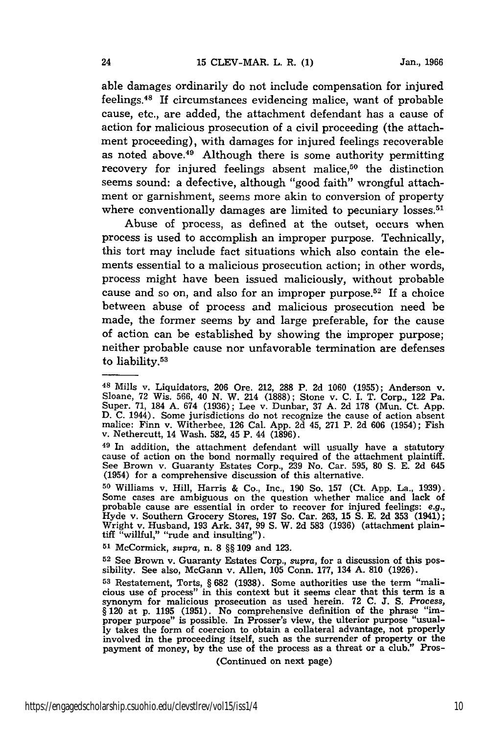able damages ordinarily do not include compensation for injured feelings.48 If circumstances evidencing malice, want of probable cause, etc., are added, the attachment defendant has a cause of action for malicious prosecution of a civil proceeding (the attachment proceeding), with damages for injured feelings recoverable as noted above.49 Although there is some authority permitting recovery for injured feelings absent malice,<sup>50</sup> the distinction seems sound: a defective, although "good faith" wrongful attachment or garnishment, seems more akin to conversion of property where conventionally damages are limited to pecuniary losses.<sup>51</sup>

Abuse of process, as defined at the outset, occurs when process is used to accomplish an improper purpose. Technically, this tort may include fact situations which also contain the elements essential to a malicious prosecution action; in other words, process might have been issued maliciously, without probable cause and so on, and also for an improper purpose.<sup>52</sup> If a choice between abuse of process and malicious prosecution need be made, the former seems by and large preferable, for the cause of action can be established by showing the improper purpose; neither probable cause nor unfavorable termination are defenses to liability.<sup>53</sup>

**<sup>51</sup>**McCormick, *supra,* n. 8 §§ 109 and 123.

**52** See Brown v. Guaranty Estates Corp., *supra,* for a discussion of this possibility. See also, McGann v. Allen, 105 Conn. 177, 134 A. 810 (1926).

(Continued on next page)

**<sup>48</sup>**Mills v. Liquidators, 206 Ore. 212, 288 P. 2d 1060 (1955); Anderson v. Sloane, 72 Wis. 566, 40 N. W. 214 (1888); Stone v. C. I. T. Corp., 122 Pa. Super. 71, 184 A. 674 (1936); Lee v. Dunbar, 37 A. 2d 178 (Mun. Ct. App. **D.** C. 1944). Some jurisdictions do not recognize the cause of action absent D. C. 1944). Some jurisdictions do not recognize the cause of action absent malice: Finn v. Witherbee, 126 Cal. App. 2d 45, 271 P. 2d 606 (1954); Fish v. Nethercutt, 14 Wash. 582, 45 P. 44 (1896).

<sup>49</sup> In addition, the attachment defendant will usually have a statutory cause of action on the bond normally required of the attachment plaintiff. See Brown v. Guaranty Estates Corp., 239 No. Car. 595, 80 **S.** E. 2d 645 (1954) for a comprehensive discussion of this alternative.

**<sup>50</sup>**Williams v. Hill, Harris & Co., Inc., 190 So. 157 (Ct. App. La., 1939). Some cases are ambiguous on the question whether malice and lack of probable cause are essential in order to recover for injured feelings: e.g.,<br>Hyde v. Southern Grocery Stores, 197 So. Car. 263, 15 S. E. 2d 353 (1941);<br>Wright v. Husband, 193 Ark. 347, 99 S. W. 2d 583 (1936) (attachment pl

**<sup>53</sup>** Restatement, Torts, § **682** (1938). Some authorities use the term "malicious use of process" in this context but it seems clear that this term is a synonym for malicious prosecution as used herein. 72 C. **J.** S. *Process,* § 120 at p. 1195 (1951). No comprehensive definition of the phrase "improper purpose" is possible. In Prosser's view, the ulterior purpose "usually takes the form of coercion to obtain a collateral advantage, not properly involved in the proceeding itself, such as the surrender of property or the payment of money, by the use of the process as a threat or a club." Pros-